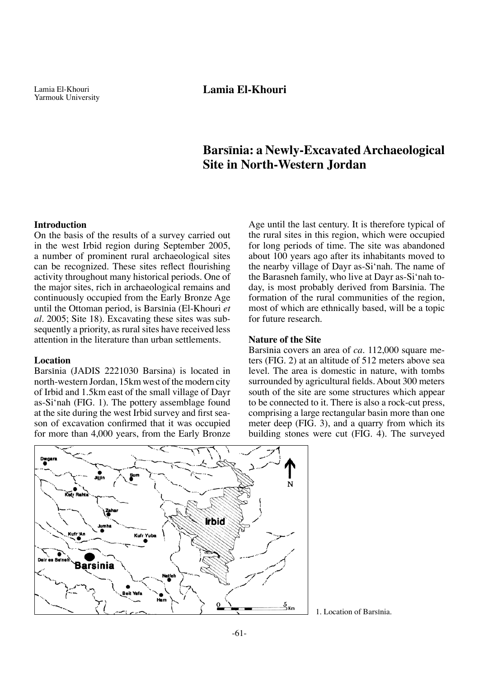# **Barsπnia: a Newly-Excavated Archaeological Site in North-Western Jordan**

#### **Introduction**

On the basis of the results of a survey carried out in the west Irbid region during September 2005, a number of prominent rural archaeological sites can be recognized. These sites reflect flourishing activity throughout many historical periods. One of the major sites, rich in archaeological remains and continuously occupied from the Early Bronze Age until the Ottoman period, is Barsinia (El-Khouri et *al.* 2005; Site 18). Excavating these sites was subsequently a priority, as rural sites have received less attention in the literature than urban settlements.

#### **Location**

Barsinia (JADIS 2221030 Barsina) is located in north-western Jordan, 15km west of the modern city of Irbid and 1.5km east of the small village of Dayr as-Si'nah (FIG. 1). The pottery assemblage found at the site during the west Irbid survey and first season of excavation confirmed that it was occupied for more than 4,000 years, from the Early Bronze

Age until the last century. It is therefore typical of the rural sites in this region, which were occupied for long periods of time. The site was abandoned about 100 years ago after its inhabitants moved to the nearby village of Dayr as-Si'nah. The name of the Barasneh family, who live at Dayr as-Si'nah today, is most probably derived from Barsinia. The formation of the rural communities of the region, most of which are ethnically based, will be a topic for future research.

#### **Nature of the Site**

Barsinia covers an area of *ca*. 112,000 square meters (FIG. 2) at an altitude of 512 meters above sea level. The area is domestic in nature, with tombs surrounded by agricultural fields. About 300 meters south of the site are some structures which appear to be connected to it. There is also a rock-cut press, comprising a large rectangular basin more than one meter deep (FIG. 3), and a quarry from which its building stones were cut (FIG. 4). The surveyed



1. Location of Barsinia.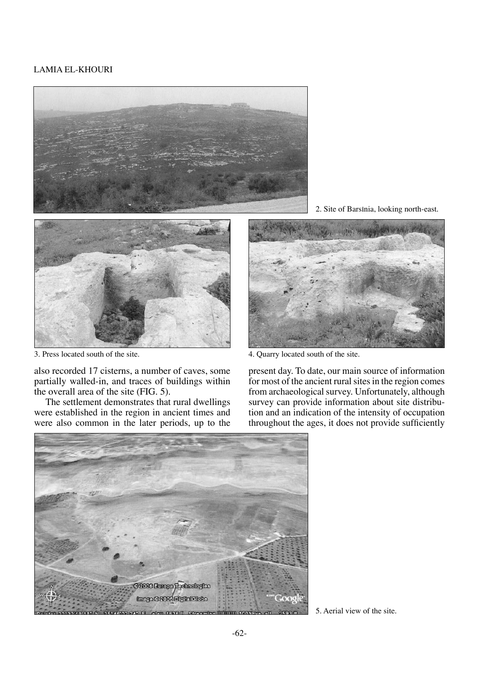

3. Press located south of the site. 4. Quarry located south of the site.

also recorded 17 cisterns, a number of caves, some partially walled-in, and traces of buildings within the overall area of the site (FIG. 5).

The settlement demonstrates that rural dwellings were established in the region in ancient times and were also common in the later periods, up to the

2. Site of Barsπnia, looking north-east.



present day. To date, our main source of information for most of the ancient rural sites in the region comes from archaeological survey. Unfortunately, although survey can provide information about site distribution and an indication of the intensity of occupation throughout the ages, it does not provide sufficiently



5. Aerial view of the site.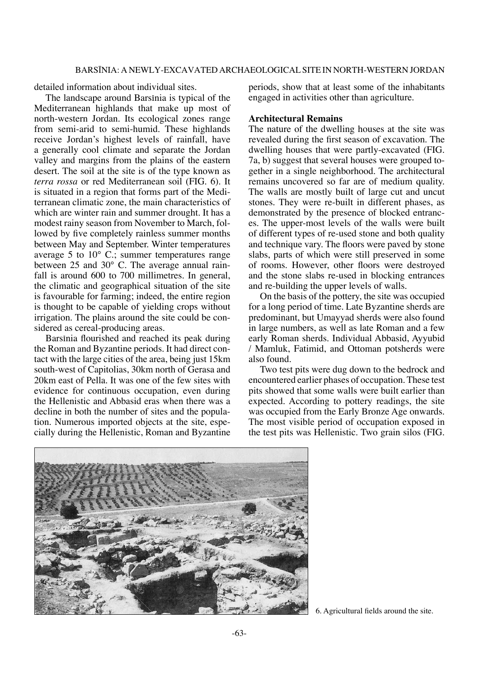detailed information about individual sites.

The landscape around Barsinia is typical of the Mediterranean highlands that make up most of north-western Jordan. Its ecological zones range from semi-arid to semi-humid. These highlands receive Jordan's highest levels of rainfall, have a generally cool climate and separate the Jordan valley and margins from the plains of the eastern desert. The soil at the site is of the type known as *terra rossa* or red Mediterranean soil (FIG. 6). It is situated in a region that forms part of the Mediterranean climatic zone, the main characteristics of which are winter rain and summer drought. It has a modest rainy season from November to March, followed by five completely rainless summer months between May and September. Winter temperatures average 5 to 10° C.; summer temperatures range between 25 and 30° C. The average annual rainfall is around 600 to 700 millimetres. In general, the climatic and geographical situation of the site is favourable for farming; indeed, the entire region is thought to be capable of yielding crops without irrigation. The plains around the site could be considered as cereal-producing areas.

Barsinia flourished and reached its peak during the Roman and Byzantine periods. It had direct contact with the large cities of the area, being just 15km south-west of Capitolias, 30km north of Gerasa and 20km east of Pella. It was one of the few sites with evidence for continuous occupation, even during the Hellenistic and Abbasid eras when there was a decline in both the number of sites and the population. Numerous imported objects at the site, especially during the Hellenistic, Roman and Byzantine

periods, show that at least some of the inhabitants engaged in activities other than agriculture.

## **Architectural Remains**

The nature of the dwelling houses at the site was revealed during the first season of excavation. The dwelling houses that were partly-excavated (FIG. 7a, b) suggest that several houses were grouped together in a single neighborhood. The architectural remains uncovered so far are of medium quality. The walls are mostly built of large cut and uncut stones. They were re-built in different phases, as demonstrated by the presence of blocked entrances. The upper-most levels of the walls were built of different types of re-used stone and both quality and technique vary. The floors were paved by stone slabs, parts of which were still preserved in some of rooms. However, other floors were destroyed and the stone slabs re-used in blocking entrances and re-building the upper levels of walls.

On the basis of the pottery, the site was occupied for a long period of time. Late Byzantine sherds are predominant, but Umayyad sherds were also found in large numbers, as well as late Roman and a few early Roman sherds. Individual Abbasid, Ayyubid / Mamluk, Fatimid, and Ottoman potsherds were also found.

Two test pits were dug down to the bedrock and encountered earlier phases of occupation. These test pits showed that some walls were built earlier than expected. According to pottery readings, the site was occupied from the Early Bronze Age onwards. The most visible period of occupation exposed in the test pits was Hellenistic. Two grain silos (FIG.



<sup>6.</sup> Agricultural fields around the site.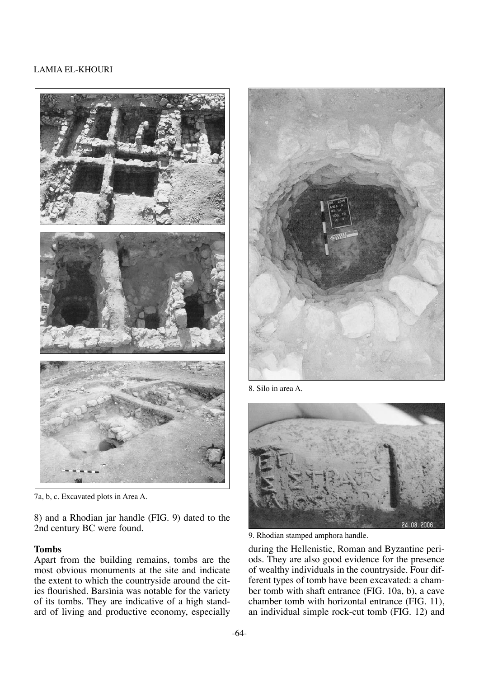

7a, b, c. Excavated plots in Area A.

8) and a Rhodian jar handle (FIG. 9) dated to the 2nd century BC were found.

## **Tombs**

Apart from the building remains, tombs are the most obvious monuments at the site and indicate the extent to which the countryside around the cities flourished. Barsinia was notable for the variety of its tombs. They are indicative of a high standard of living and productive economy, especially



8. Silo in area A.



9. Rhodian stamped amphora handle.

during the Hellenistic, Roman and Byzantine periods. They are also good evidence for the presence of wealthy individuals in the countryside. Four different types of tomb have been excavated: a chamber tomb with shaft entrance (FIG. 10a, b), a cave chamber tomb with horizontal entrance (FIG. 11), an individual simple rock-cut tomb (FIG. 12) and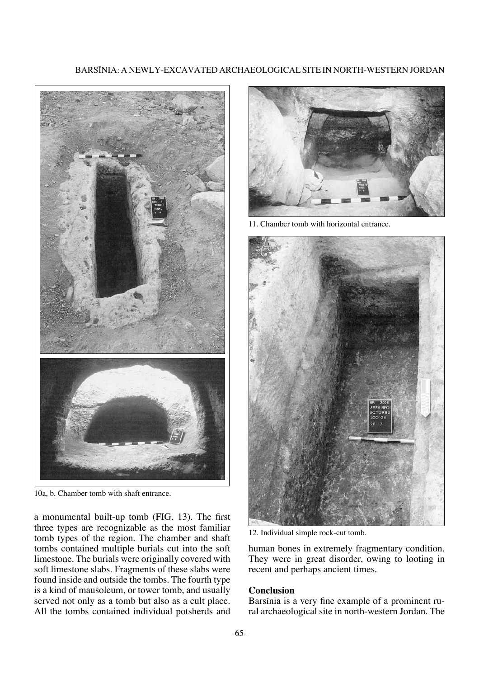



10a, b. Chamber tomb with shaft entrance.

a monumental built-up tomb (FIG. 13). The first three types are recognizable as the most familiar tomb types of the region. The chamber and shaft tombs contained multiple burials cut into the soft limestone. The burials were originally covered with soft limestone slabs. Fragments of these slabs were found inside and outside the tombs. The fourth type is a kind of mausoleum, or tower tomb, and usually served not only as a tomb but also as a cult place. All the tombs contained individual potsherds and



11. Chamber tomb with horizontal entrance.



12. Individual simple rock-cut tomb.

human bones in extremely fragmentary condition. They were in great disorder, owing to looting in recent and perhaps ancient times.

#### **Conclusion**

Barsinia is a very fine example of a prominent rural archaeological site in north-western Jordan. The